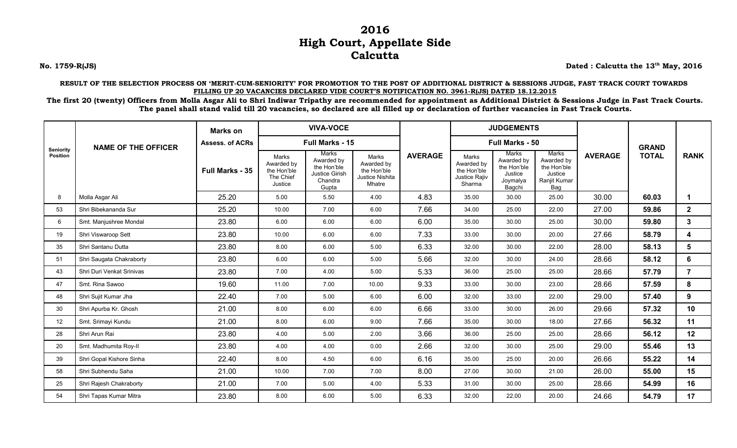## **2016 High Court, Appellate Side Calcutta**

**No. 1759-R(JS) Dated : Calcutta the 13th May, 2016**

**RESULT OF THE SELECTION PROCESS ON 'MERIT-CUM-SENIORITY' FOR PROMOTION TO THE POST OF ADDITIONAL DISTRICT & SESSIONS JUDGE, FAST TRACK COURT TOWARDS FILLING UP 20 VACANCIES DECLARED VIDE COURT'S NOTIFICATION NO. 3961-R(JS) DATED 18.12.2015**

**The first 20 (twenty) Officers from Molla Asgar Ali to Shri Indiwar Tripathy are recommended for appointment as Additional District & Sessions Judge in Fast Track Courts. The panel shall stand valid till 20 vacancies, so declared are all filled up or declaration of further vacancies in Fast Track Courts.**

| <b>Seniority</b><br><b>Position</b> | <b>NAME OF THE OFFICER</b> | <b>Marks on</b>        | <b>VIVA-VOCE</b><br>Full Marks - 15                        |                                                                          |                                                                 |                | <b>JUDGEMENTS</b>                                             |                                                                     |                                                                      |                |              |                 |
|-------------------------------------|----------------------------|------------------------|------------------------------------------------------------|--------------------------------------------------------------------------|-----------------------------------------------------------------|----------------|---------------------------------------------------------------|---------------------------------------------------------------------|----------------------------------------------------------------------|----------------|--------------|-----------------|
|                                     |                            | <b>Assess. of ACRs</b> |                                                            |                                                                          |                                                                 |                | Full Marks - 50                                               |                                                                     |                                                                      |                | <b>GRAND</b> |                 |
|                                     |                            | Full Marks - 35        | Marks<br>Awarded by<br>the Hon'ble<br>The Chief<br>Justice | Marks<br>Awarded by<br>the Hon'ble<br>Justice Girish<br>Chandra<br>Gupta | Marks<br>Awarded by<br>the Hon'ble<br>Justice Nishita<br>Mhatre | <b>AVERAGE</b> | Marks<br>Awarded by<br>the Hon'ble<br>Justice Rajiv<br>Sharma | Marks<br>Awarded by<br>the Hon'ble<br>Justice<br>Joymalya<br>Bagchi | Marks<br>Awarded by<br>the Hon'ble<br>Justice<br>Ranjit Kumar<br>Bag | <b>AVERAGE</b> | <b>TOTAL</b> | <b>RANK</b>     |
| 8                                   | Molla Asgar Ali            | 25.20                  | 5.00                                                       | 5.50                                                                     | 4.00                                                            | 4.83           | 35.00                                                         | 30.00                                                               | 25.00                                                                | 30.00          | 60.03        | 1               |
| 53                                  | Shri Bibekananda Sur       | 25.20                  | 10.00                                                      | 7.00                                                                     | 6.00                                                            | 7.66           | 34.00                                                         | 25.00                                                               | 22.00                                                                | 27.00          | 59.86        | $\mathbf{2}$    |
| 6                                   | Smt. Manjushree Mondal     | 23.80                  | 6.00                                                       | 6.00                                                                     | 6.00                                                            | 6.00           | 35.00                                                         | 30.00                                                               | 25.00                                                                | 30.00          | 59.80        | $\mathbf{3}$    |
| 19                                  | Shri Viswaroop Sett        | 23.80                  | 10.00                                                      | 6.00                                                                     | 6.00                                                            | 7.33           | 33.00                                                         | 30.00                                                               | 20.00                                                                | 27.66          | 58.79        | 4               |
| 35                                  | Shri Santanu Dutta         | 23.80                  | 8.00                                                       | 6.00                                                                     | 5.00                                                            | 6.33           | 32.00                                                         | 30.00                                                               | 22.00                                                                | 28.00          | 58.13        | 5               |
| 51                                  | Shri Saugata Chakraborty   | 23.80                  | 6.00                                                       | 6.00                                                                     | 5.00                                                            | 5.66           | 32.00                                                         | 30.00                                                               | 24.00                                                                | 28.66          | 58.12        | 6               |
| 43                                  | Shri Duri Venkat Srinivas  | 23.80                  | 7.00                                                       | 4.00                                                                     | 5.00                                                            | 5.33           | 36.00                                                         | 25.00                                                               | 25.00                                                                | 28.66          | 57.79        | $\overline{7}$  |
| 47                                  | Smt. Rina Sawoo            | 19.60                  | 11.00                                                      | 7.00                                                                     | 10.00                                                           | 9.33           | 33.00                                                         | 30.00                                                               | 23.00                                                                | 28.66          | 57.59        | 8               |
| 48                                  | Shri Sujit Kumar Jha       | 22.40                  | 7.00                                                       | 5.00                                                                     | 6.00                                                            | 6.00           | 32.00                                                         | 33.00                                                               | 22.00                                                                | 29.00          | 57.40        | 9               |
| 30                                  | Shri Apurba Kr. Ghosh      | 21.00                  | 8.00                                                       | 6.00                                                                     | 6.00                                                            | 6.66           | 33.00                                                         | 30.00                                                               | 26.00                                                                | 29.66          | 57.32        | 10 <sup>°</sup> |
| 12                                  | Smt. Srimayi Kundu         | 21.00                  | 8.00                                                       | 6.00                                                                     | 9.00                                                            | 7.66           | 35.00                                                         | 30.00                                                               | 18.00                                                                | 27.66          | 56.32        | 11              |
| 28                                  | Shri Arun Rai              | 23.80                  | 4.00                                                       | 5.00                                                                     | 2.00                                                            | 3.66           | 36.00                                                         | 25.00                                                               | 25.00                                                                | 28.66          | 56.12        | 12              |
| 20                                  | Smt. Madhumita Roy-II      | 23.80                  | 4.00                                                       | 4.00                                                                     | 0.00                                                            | 2.66           | 32.00                                                         | 30.00                                                               | 25.00                                                                | 29.00          | 55.46        | 13              |
| 39                                  | Shri Gopal Kishore Sinha   | 22.40                  | 8.00                                                       | 4.50                                                                     | 6.00                                                            | 6.16           | 35.00                                                         | 25.00                                                               | 20.00                                                                | 26.66          | 55.22        | 14              |
| 58                                  | Shri Subhendu Saha         | 21.00                  | 10.00                                                      | 7.00                                                                     | 7.00                                                            | 8.00           | 27.00                                                         | 30.00                                                               | 21.00                                                                | 26.00          | 55.00        | 15              |
| 25                                  | Shri Rajesh Chakraborty    | 21.00                  | 7.00                                                       | 5.00                                                                     | 4.00                                                            | 5.33           | 31.00                                                         | 30.00                                                               | 25.00                                                                | 28.66          | 54.99        | 16              |
| 54                                  | Shri Tapas Kumar Mitra     | 23.80                  | 8.00                                                       | 6.00                                                                     | 5.00                                                            | 6.33           | 32.00                                                         | 22.00                                                               | 20.00                                                                | 24.66          | 54.79        | 17              |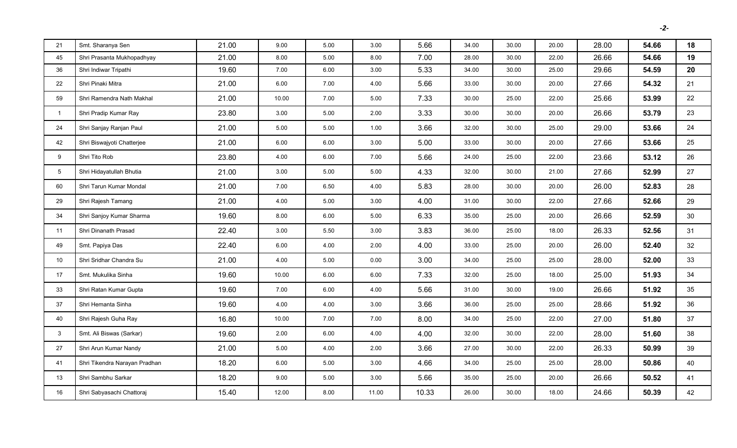| 21             | Smt. Sharanya Sen             | 21.00 | 9.00  | 5.00 | 3.00  | 5.66  | 34.00 | 30.00 | 20.00 | 28.00 | 54.66 | 18 |
|----------------|-------------------------------|-------|-------|------|-------|-------|-------|-------|-------|-------|-------|----|
| 45             | Shri Prasanta Mukhopadhyay    | 21.00 | 8.00  | 5.00 | 8.00  | 7.00  | 28.00 | 30.00 | 22.00 | 26.66 | 54.66 | 19 |
| 36             | Shri Indiwar Tripathi         | 19.60 | 7.00  | 6.00 | 3.00  | 5.33  | 34.00 | 30.00 | 25.00 | 29.66 | 54.59 | 20 |
| 22             | Shri Pinaki Mitra             | 21.00 | 6.00  | 7.00 | 4.00  | 5.66  | 33.00 | 30.00 | 20.00 | 27.66 | 54.32 | 21 |
| 59             | Shri Ramendra Nath Makhal     | 21.00 | 10.00 | 7.00 | 5.00  | 7.33  | 30.00 | 25.00 | 22.00 | 25.66 | 53.99 | 22 |
| $\mathbf{1}$   | Shri Pradip Kumar Ray         | 23.80 | 3.00  | 5.00 | 2.00  | 3.33  | 30.00 | 30.00 | 20.00 | 26.66 | 53.79 | 23 |
| 24             | Shri Sanjay Ranjan Paul       | 21.00 | 5.00  | 5.00 | 1.00  | 3.66  | 32.00 | 30.00 | 25.00 | 29.00 | 53.66 | 24 |
| 42             | Shri Biswajyoti Chatterjee    | 21.00 | 6.00  | 6.00 | 3.00  | 5.00  | 33.00 | 30.00 | 20.00 | 27.66 | 53.66 | 25 |
| 9              | Shri Tito Rob                 | 23.80 | 4.00  | 6.00 | 7.00  | 5.66  | 24.00 | 25.00 | 22.00 | 23.66 | 53.12 | 26 |
| 5 <sub>5</sub> | Shri Hidayatullah Bhutia      | 21.00 | 3.00  | 5.00 | 5.00  | 4.33  | 32.00 | 30.00 | 21.00 | 27.66 | 52.99 | 27 |
| 60             | Shri Tarun Kumar Mondal       | 21.00 | 7.00  | 6.50 | 4.00  | 5.83  | 28.00 | 30.00 | 20.00 | 26.00 | 52.83 | 28 |
| 29             | Shri Rajesh Tamang            | 21.00 | 4.00  | 5.00 | 3.00  | 4.00  | 31.00 | 30.00 | 22.00 | 27.66 | 52.66 | 29 |
| 34             | Shri Sanjoy Kumar Sharma      | 19.60 | 8.00  | 6.00 | 5.00  | 6.33  | 35.00 | 25.00 | 20.00 | 26.66 | 52.59 | 30 |
| 11             | Shri Dinanath Prasad          | 22.40 | 3.00  | 5.50 | 3.00  | 3.83  | 36.00 | 25.00 | 18.00 | 26.33 | 52.56 | 31 |
| 49             | Smt. Papiya Das               | 22.40 | 6.00  | 4.00 | 2.00  | 4.00  | 33.00 | 25.00 | 20.00 | 26.00 | 52.40 | 32 |
| 10             | Shri Sridhar Chandra Su       | 21.00 | 4.00  | 5.00 | 0.00  | 3.00  | 34.00 | 25.00 | 25.00 | 28.00 | 52.00 | 33 |
| 17             | Smt. Mukulika Sinha           | 19.60 | 10.00 | 6.00 | 6.00  | 7.33  | 32.00 | 25.00 | 18.00 | 25.00 | 51.93 | 34 |
| 33             | Shri Ratan Kumar Gupta        | 19.60 | 7.00  | 6.00 | 4.00  | 5.66  | 31.00 | 30.00 | 19.00 | 26.66 | 51.92 | 35 |
| 37             | Shri Hemanta Sinha            | 19.60 | 4.00  | 4.00 | 3.00  | 3.66  | 36.00 | 25.00 | 25.00 | 28.66 | 51.92 | 36 |
| 40             | Shri Rajesh Guha Ray          | 16.80 | 10.00 | 7.00 | 7.00  | 8.00  | 34.00 | 25.00 | 22.00 | 27.00 | 51.80 | 37 |
| 3              | Smt. Ali Biswas (Sarkar)      | 19.60 | 2.00  | 6.00 | 4.00  | 4.00  | 32.00 | 30.00 | 22.00 | 28.00 | 51.60 | 38 |
| 27             | Shri Arun Kumar Nandy         | 21.00 | 5.00  | 4.00 | 2.00  | 3.66  | 27.00 | 30.00 | 22.00 | 26.33 | 50.99 | 39 |
| 41             | Shri Tikendra Narayan Pradhan | 18.20 | 6.00  | 5.00 | 3.00  | 4.66  | 34.00 | 25.00 | 25.00 | 28.00 | 50.86 | 40 |
| 13             | Shri Sambhu Sarkar            | 18.20 | 9.00  | 5.00 | 3.00  | 5.66  | 35.00 | 25.00 | 20.00 | 26.66 | 50.52 | 41 |
| 16             | Shri Sabyasachi Chattoraj     | 15.40 | 12.00 | 8.00 | 11.00 | 10.33 | 26.00 | 30.00 | 18.00 | 24.66 | 50.39 | 42 |